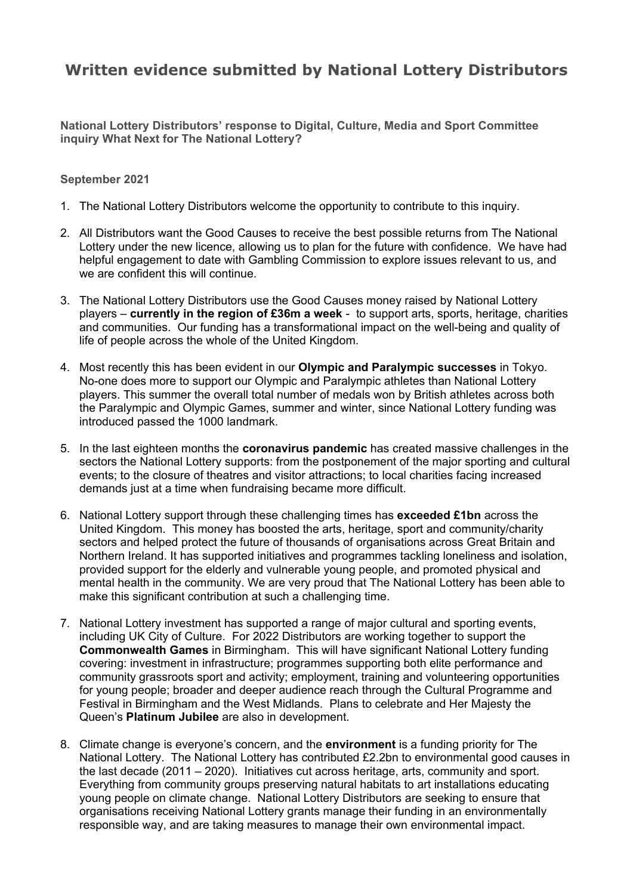# **Written evidence submitted by National Lottery Distributors**

**National Lottery Distributors' response to Digital, Culture, Media and Sport Committee inquiry What Next for The National Lottery?**

#### **September 2021**

- 1. The National Lottery Distributors welcome the opportunity to contribute to this inquiry.
- 2. All Distributors want the Good Causes to receive the best possible returns from The National Lottery under the new licence, allowing us to plan for the future with confidence. We have had helpful engagement to date with Gambling Commission to explore issues relevant to us, and we are confident this will continue.
- 3. The National Lottery Distributors use the Good Causes money raised by National Lottery players – **currently in the region of £36m a week** - to support arts, sports, heritage, charities and communities. Our funding has a transformational impact on the well-being and quality of life of people across the whole of the United Kingdom.
- 4. Most recently this has been evident in our **Olympic and Paralympic successes** in Tokyo. No-one does more to support our Olympic and Paralympic athletes than National Lottery players. This summer the overall total number of medals won by British athletes across both the Paralympic and Olympic Games, summer and winter, since National Lottery funding was introduced passed the 1000 landmark.
- 5. In the last eighteen months the **coronavirus pandemic** has created massive challenges in the sectors the National Lottery supports: from the postponement of the major sporting and cultural events; to the closure of theatres and visitor attractions; to local charities facing increased demands just at a time when fundraising became more difficult.
- 6. National Lottery support through these challenging times has **exceeded £1bn** across the United Kingdom. This money has boosted the arts, heritage, sport and community/charity sectors and helped protect the future of thousands of organisations across Great Britain and Northern Ireland. It has supported initiatives and programmes tackling loneliness and isolation, provided support for the elderly and vulnerable young people, and promoted physical and mental health in the community. We are very proud that The National Lottery has been able to make this significant contribution at such a challenging time.
- 7. National Lottery investment has supported a range of major cultural and sporting events, including UK City of Culture. For 2022 Distributors are working together to support the **Commonwealth Games** in Birmingham. This will have significant National Lottery funding covering: investment in infrastructure; programmes supporting both elite performance and community grassroots sport and activity; employment, training and volunteering opportunities for young people; broader and deeper audience reach through the Cultural Programme and Festival in Birmingham and the West Midlands. Plans to celebrate and Her Majesty the Queen's **Platinum Jubilee** are also in development.
- 8. Climate change is everyone's concern, and the **environment** is a funding priority for The National Lottery. The National Lottery has contributed £2.2bn to environmental good causes in the last decade (2011 – 2020). Initiatives cut across heritage, arts, community and sport. Everything from community groups preserving natural habitats to art installations educating young people on climate change. National Lottery Distributors are seeking to ensure that organisations receiving National Lottery grants manage their funding in an environmentally responsible way, and are taking measures to manage their own environmental impact.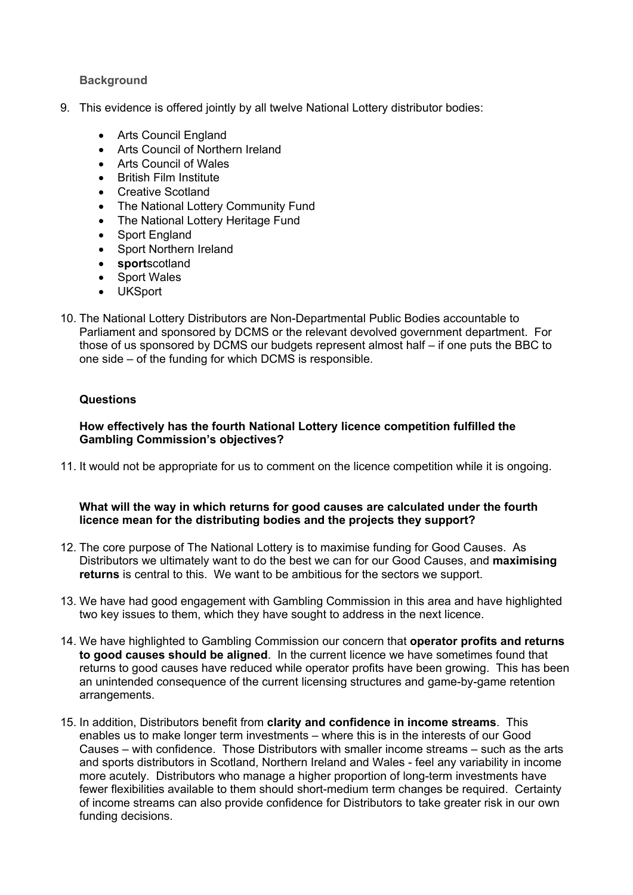## **Background**

- 9. This evidence is offered jointly by all twelve National Lottery distributor bodies:
	- Arts Council England
	- Arts Council of Northern Ireland
	- Arts Council of Wales
	- **British Film Institute**
	- Creative Scotland
	- The National Lottery Community Fund
	- The National Lottery Heritage Fund
	- Sport England
	- Sport Northern Ireland
	- **sport**scotland
	- Sport Wales
	- UKSport
- 10. The National Lottery Distributors are Non-Departmental Public Bodies accountable to Parliament and sponsored by DCMS or the relevant devolved government department. For those of us sponsored by DCMS our budgets represent almost half – if one puts the BBC to one side – of the funding for which DCMS is responsible.

## **Questions**

## **How effectively has the fourth National Lottery licence competition fulfilled the Gambling Commission's objectives?**

11. It would not be appropriate for us to comment on the licence competition while it is ongoing.

## **What will the way in which returns for good causes are calculated under the fourth licence mean for the distributing bodies and the projects they support?**

- 12. The core purpose of The National Lottery is to maximise funding for Good Causes. As Distributors we ultimately want to do the best we can for our Good Causes, and **maximising returns** is central to this. We want to be ambitious for the sectors we support.
- 13. We have had good engagement with Gambling Commission in this area and have highlighted two key issues to them, which they have sought to address in the next licence.
- 14. We have highlighted to Gambling Commission our concern that **operator profits and returns to good causes should be aligned**. In the current licence we have sometimes found that returns to good causes have reduced while operator profits have been growing. This has been an unintended consequence of the current licensing structures and game-by-game retention arrangements.
- 15. In addition, Distributors benefit from **clarity and confidence in income streams**. This enables us to make longer term investments – where this is in the interests of our Good Causes – with confidence. Those Distributors with smaller income streams – such as the arts and sports distributors in Scotland, Northern Ireland and Wales - feel any variability in income more acutely. Distributors who manage a higher proportion of long-term investments have fewer flexibilities available to them should short-medium term changes be required. Certainty of income streams can also provide confidence for Distributors to take greater risk in our own funding decisions.